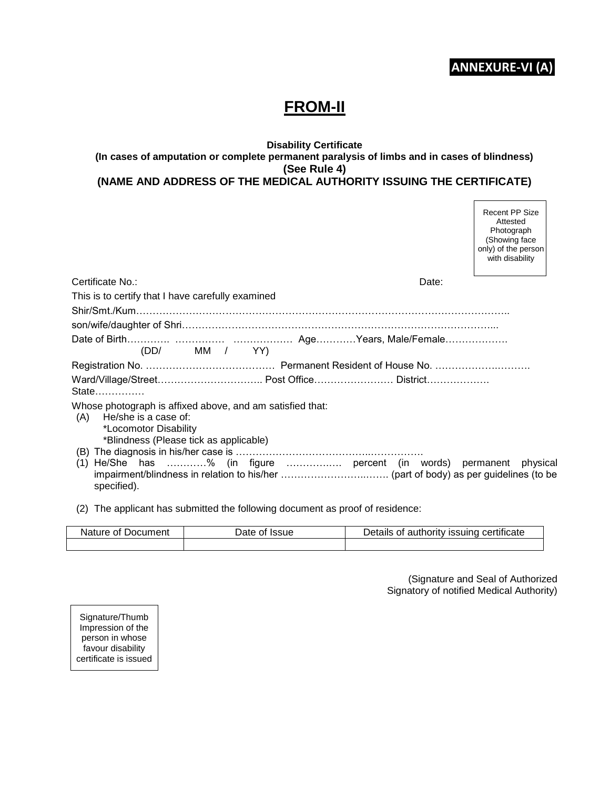## **ANNEXURE-VI (A)**

 $\Gamma$ 

٦

# **FROM-II**

#### **Disability Certificate (In cases of amputation or complete permanent paralysis of limbs and in cases of blindness) (See Rule 4) (NAME AND ADDRESS OF THE MEDICAL AUTHORITY ISSUING THE CERTIFICATE)**

|                                                                                                                                                                                                                                                  | <b>Recent PP Size</b><br>Attested<br>Photograph<br>(Showing face<br>only) of the person<br>with disability |
|--------------------------------------------------------------------------------------------------------------------------------------------------------------------------------------------------------------------------------------------------|------------------------------------------------------------------------------------------------------------|
| Certificate No.:                                                                                                                                                                                                                                 | Date:                                                                                                      |
| This is to certify that I have carefully examined                                                                                                                                                                                                |                                                                                                            |
|                                                                                                                                                                                                                                                  |                                                                                                            |
|                                                                                                                                                                                                                                                  |                                                                                                            |
|                                                                                                                                                                                                                                                  |                                                                                                            |
| (DD/ MM / YY)                                                                                                                                                                                                                                    |                                                                                                            |
|                                                                                                                                                                                                                                                  |                                                                                                            |
|                                                                                                                                                                                                                                                  |                                                                                                            |
| Whose photograph is affixed above, and am satisfied that:<br>He/she is a case of:<br>(A)<br>*Locomotor Disability<br>*Blindness (Please tick as applicable)<br>(1) He/She has % (in figure  percent (in words) permanent physical<br>specified). |                                                                                                            |
|                                                                                                                                                                                                                                                  |                                                                                                            |

(2) The applicant has submitted the following document as proof of residence:

| Nature of Document<br>Date of Issue |  | Details of authority issuing certificate |  |
|-------------------------------------|--|------------------------------------------|--|
|                                     |  |                                          |  |

(Signature and Seal of Authorized Signatory of notified Medical Authority)

Signature/Thumb Impression of the person in whose favour disability certificate is issued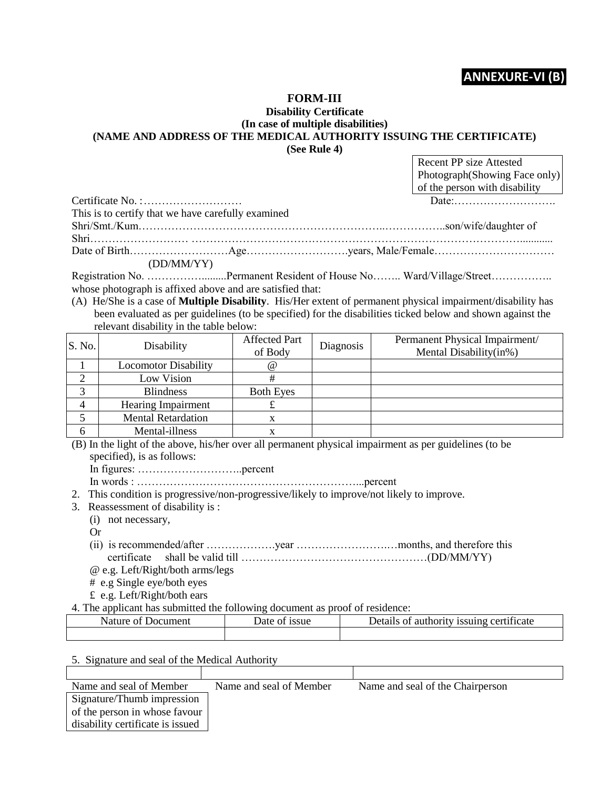### **ANNEXURE-VI (B)**

#### **FORM-III**

#### **Disability Certificate (In case of multiple disabilities) (NAME AND ADDRESS OF THE MEDICAL AUTHORITY ISSUING THE CERTIFICATE) (See Rule 4)**

| Recent PP size Attested                                                      |
|------------------------------------------------------------------------------|
| Photograph(Showing Face only)                                                |
| of the person with disability                                                |
| Date $\qquad \qquad \ldots \qquad \qquad \ldots \qquad \ldots \qquad \ldots$ |
|                                                                              |

| This is to certify that we have carefully examined |  |
|----------------------------------------------------|--|
|                                                    |  |
|                                                    |  |
|                                                    |  |
| (DD/MM/YY)                                         |  |

Registration No. ………………………..Permanent Resident of House No……… Ward/Village/Street……………… whose photograph is affixed above and are satisfied that:

(A) He/She is a case of **Multiple Disability**. His/Her extent of permanent physical impairment/disability has been evaluated as per guidelines (to be specified) for the disabilities ticked below and shown against the relevant disability in the table below:

| S. No. | Disability                  | <b>Affected Part</b><br>of Body | Diagnosis | Permanent Physical Impairment/<br>Mental Disability(in%) |
|--------|-----------------------------|---------------------------------|-----------|----------------------------------------------------------|
|        | <b>Locomotor Disability</b> | $\omega$                        |           |                                                          |
|        | Low Vision                  |                                 |           |                                                          |
|        | <b>Blindness</b>            | <b>Both Eyes</b>                |           |                                                          |
|        | <b>Hearing Impairment</b>   |                                 |           |                                                          |
|        | <b>Mental Retardation</b>   |                                 |           |                                                          |
| h      | Mental-illness              |                                 |           |                                                          |

(B) In the light of the above, his/her over all permanent physical impairment as per guidelines (to be specified), is as follows:

In figures: ………………………..percent

In words : ……………………………………………………...percent

2. This condition is progressive/non-progressive/likely to improve/not likely to improve.

3. Reassessment of disability is :

(i) not necessary,

Or

Certificate  $No$ .

(ii) is recommended/after ……………….year …………………….…months, and therefore this certificate shall be valid till ……………………………………………(DD/MM/YY)

@ e.g. Left/Right/both arms/legs

- # e.g Single eye/both eyes
- £ e.g. Left/Right/both ears
- 4. The applicant has submitted the following document as proof of residence:

| Nature of<br>Jocument | Date of issue | Details of authority issuing certificate |
|-----------------------|---------------|------------------------------------------|
|                       |               |                                          |

5. Signature and seal of the Medical Authority

| Name and seal of Member          | Name and seal of Member | Name and seal of the Chairperson |
|----------------------------------|-------------------------|----------------------------------|
| Signature/Thumb impression       |                         |                                  |
| of the person in whose favour    |                         |                                  |
| disability certificate is issued |                         |                                  |